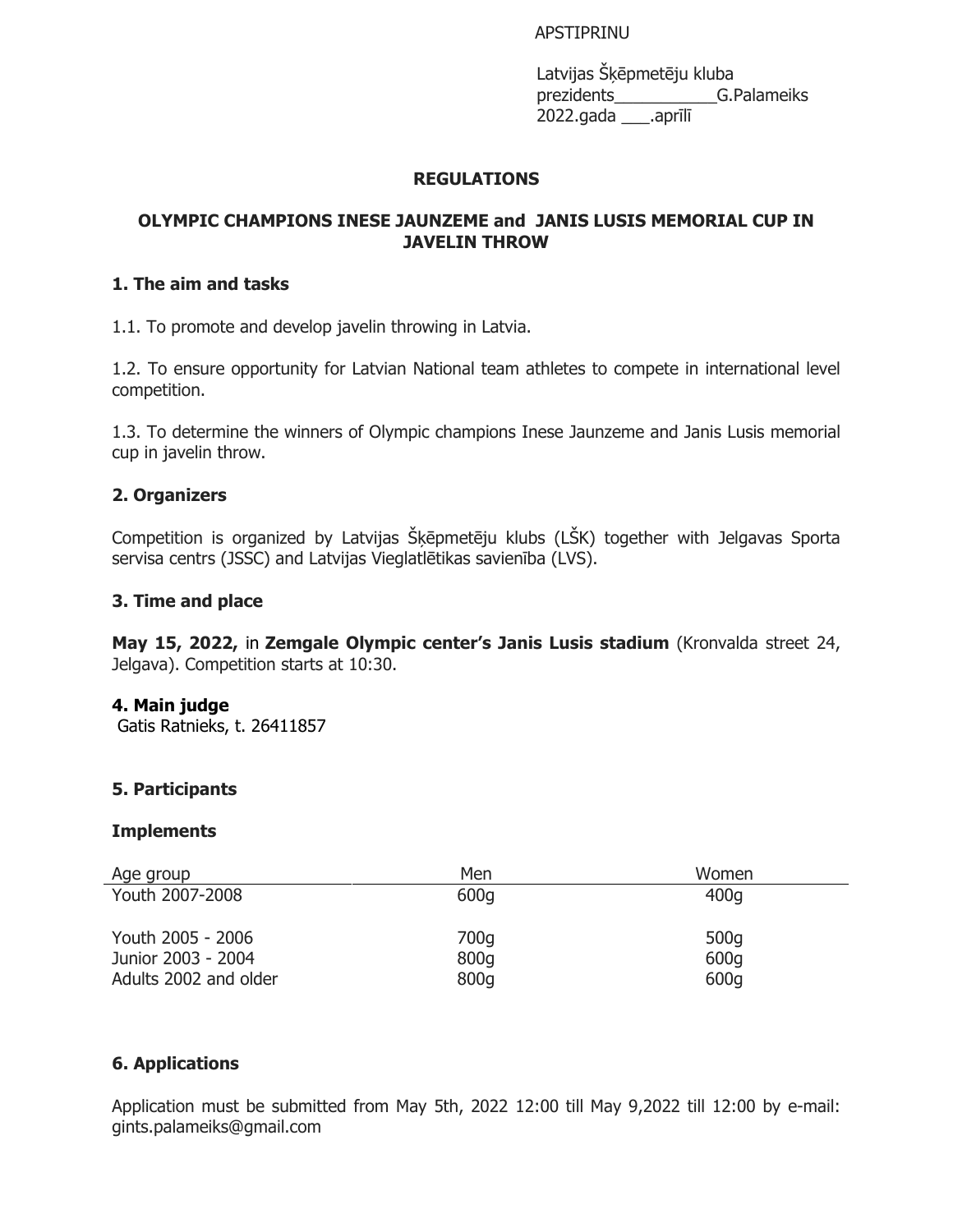## APSTIPRINU

Latvijas Šķēpmetēju kluba prezidents\_\_\_\_\_\_\_\_\_\_\_G.Palameiks 2022.gada \_\_\_.aprīlī

## **REGULATIONS**

# **OLYMPIC CHAMPIONS INESE JAUNZEME and JANIS LUSIS MEMORIAL CUP IN JAVELIN THROW**

# **1. The aim and tasks**

1.1. To promote and develop javelin throwing in Latvia.

1.2. To ensure opportunity for Latvian National team athletes to compete in international level competition.

1.3. To determine the winners of Olympic champions Inese Jaunzeme and Janis Lusis memorial cup in javelin throw.

## **2. Organizers**

Competition is organized by Latvijas Šķēpmetēju klubs (LŠK) together with Jelgavas Sporta servisa centrs (JSSC) and Latvijas Vieglatlētikas savienība (LVS).

## **3. Time and place**

**May 15, 2022,** in **Zemgale Olympic center's Janis Lusis stadium** (Kronvalda street 24, Jelgava). Competition starts at 10:30.

## **4. Main judge**

Gatis Ratnieks, t. 26411857

## **5. Participants**

## **Implements**

| Age group             | Men  | Women |
|-----------------------|------|-------|
| Youth 2007-2008       | 600q | 400q  |
| Youth 2005 - 2006     | 700q | 500g  |
| Junior 2003 - 2004    | 800g | 600g  |
| Adults 2002 and older | 800g | 600q  |

## **6. Applications**

Application must be submitted from May 5th, 2022 12:00 till May 9,2022 till 12:00 by e-mail: gints.palameiks@gmail.com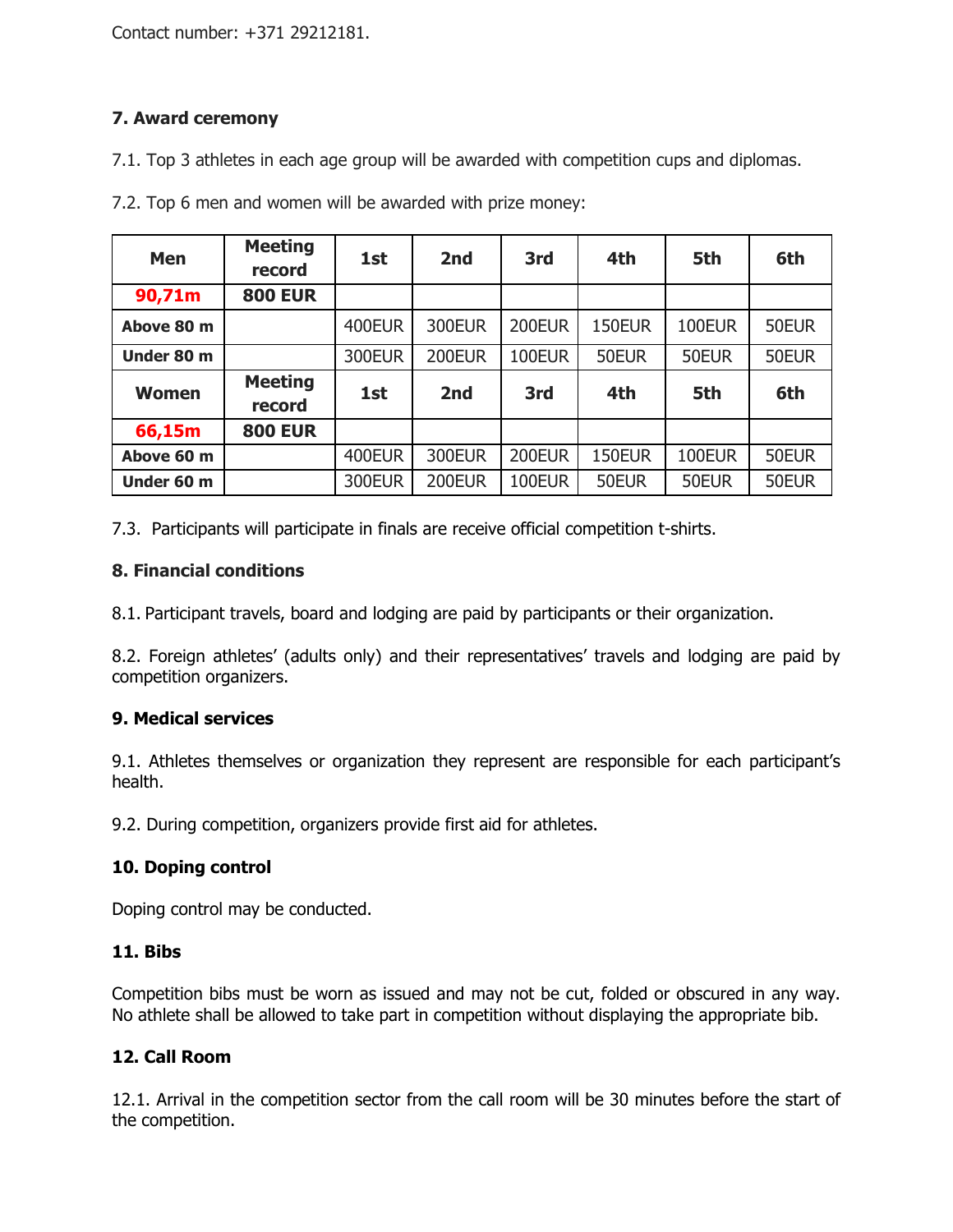Contact number: +371 29212181.

# **7. Award ceremony**

7.1. Top 3 athletes in each age group will be awarded with competition cups and diplomas.

| <b>Men</b>   | <b>Meeting</b><br>record | 1st           | 2nd           | 3rd    | 4th           | 5th    | 6th   |
|--------------|--------------------------|---------------|---------------|--------|---------------|--------|-------|
| 90,71m       | <b>800 EUR</b>           |               |               |        |               |        |       |
| Above 80 m   |                          | 400EUR        | <b>300EUR</b> | 200EUR | <b>150EUR</b> | 100EUR | 50EUR |
| Under 80 m   |                          | <b>300EUR</b> | 200EUR        | 100EUR | 50EUR         | 50EUR  | 50EUR |
| <b>Women</b> | <b>Meeting</b><br>record | 1st           | 2nd           | 3rd    | 4th           | 5th    | 6th   |
| 66,15m       | <b>800 EUR</b>           |               |               |        |               |        |       |
| Above 60 m   |                          | 400EUR        | <b>300EUR</b> | 200EUR | <b>150EUR</b> | 100EUR | 50EUR |
| Under 60 m   |                          | <b>300EUR</b> | 200EUR        | 100EUR | 50EUR         | 50EUR  | 50EUR |

7.2. Top 6 men and women will be awarded with prize money:

7.3. Participants will participate in finals are receive official competition t-shirts.

# **8. Financial conditions**

8.1. Participant travels, board and lodging are paid by participants or their organization.

8.2. Foreign athletes' (adults only) and their representatives' travels and lodging are paid by competition organizers.

# **9. Medical services**

9.1. Athletes themselves or organization they represent are responsible for each participant's health.

9.2. During competition, organizers provide first aid for athletes.

# **10. Doping control**

Doping control may be conducted.

## **11. Bibs**

Competition bibs must be worn as issued and may not be cut, folded or obscured in any way. No athlete shall be allowed to take part in competition without displaying the appropriate bib.

# **12. Call Room**

12.1. Arrival in the competition sector from the call room will be 30 minutes before the start of the competition.